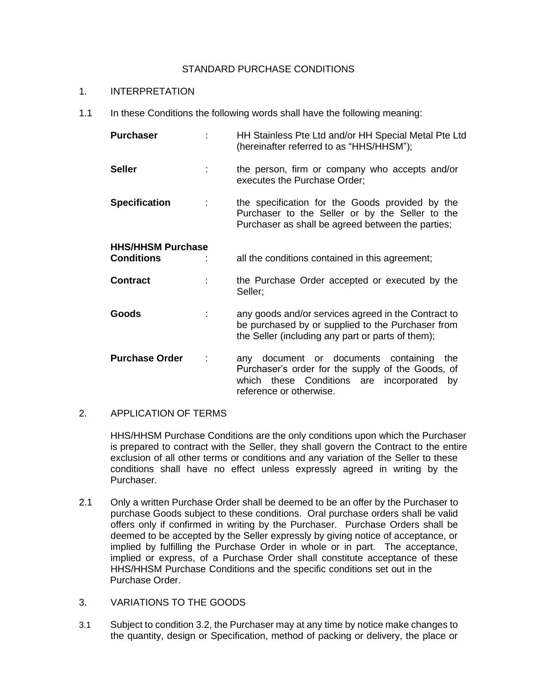## STANDARD PURCHASE CONDITIONS

### 1. INTERPRETATION

1.1 In these Conditions the following words shall have the following meaning:

| <b>Purchaser</b>         |      | HH Stainless Pte Ltd and/or HH Special Metal Pte Ltd<br>(hereinafter referred to as "HHS/HHSM");                                                                                   |
|--------------------------|------|------------------------------------------------------------------------------------------------------------------------------------------------------------------------------------|
| <b>Seller</b>            | t in | the person, firm or company who accepts and/or<br>executes the Purchase Order;                                                                                                     |
| <b>Specification</b>     | t    | the specification for the Goods provided by the<br>Purchaser to the Seller or by the Seller to the<br>Purchaser as shall be agreed between the parties;                            |
| <b>HHS/HHSM Purchase</b> |      |                                                                                                                                                                                    |
| <b>Conditions</b>        |      | all the conditions contained in this agreement;                                                                                                                                    |
| <b>Contract</b>          |      | the Purchase Order accepted or executed by the<br>Seller;                                                                                                                          |
| Goods                    |      | any goods and/or services agreed in the Contract to<br>be purchased by or supplied to the Purchaser from<br>the Seller (including any part or parts of them);                      |
| <b>Purchase Order</b>    | ÷    | document or documents containing<br>the<br>any<br>Purchaser's order for the supply of the Goods, of<br>these Conditions are incorporated<br>which<br>by<br>reference or otherwise. |

# 2. APPLICATION OF TERMS

HHS/HHSM Purchase Conditions are the only conditions upon which the Purchaser is prepared to contract with the Seller, they shall govern the Contract to the entire exclusion of all other terms or conditions and any variation of the Seller to these conditions shall have no effect unless expressly agreed in writing by the Purchaser.

- 2.1 Only a written Purchase Order shall be deemed to be an offer by the Purchaser to purchase Goods subject to these conditions. Oral purchase orders shall be valid offers only if confirmed in writing by the Purchaser. Purchase Orders shall be deemed to be accepted by the Seller expressly by giving notice of acceptance, or implied by fulfilling the Purchase Order in whole or in part. The acceptance, implied or express, of a Purchase Order shall constitute acceptance of these HHS/HHSM Purchase Conditions and the specific conditions set out in the Purchase Order.
- 3. VARIATIONS TO THE GOODS
- 3.1 Subject to condition 3.2, the Purchaser may at any time by notice make changes to the quantity, design or Specification, method of packing or delivery, the place or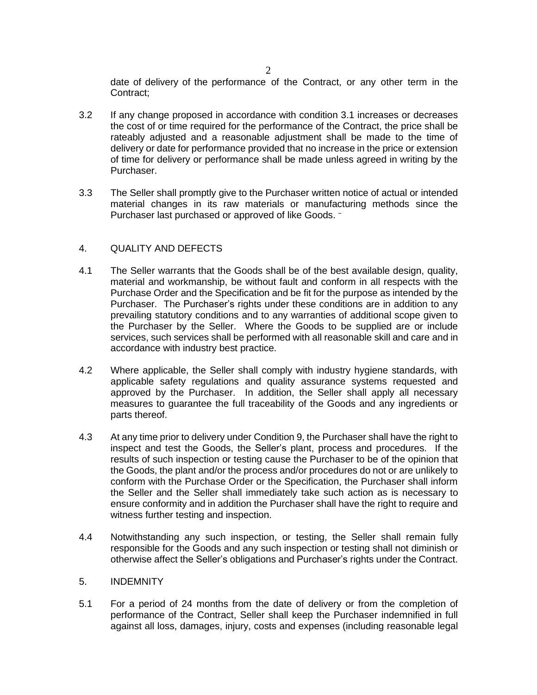date of delivery of the performance of the Contract, or any other term in the Contract;

- 3.2 If any change proposed in accordance with condition 3.1 increases or decreases the cost of or time required for the performance of the Contract, the price shall be rateably adjusted and a reasonable adjustment shall be made to the time of delivery or date for performance provided that no increase in the price or extension of time for delivery or performance shall be made unless agreed in writing by the Purchaser.
- 3.3 The Seller shall promptly give to the Purchaser written notice of actual or intended material changes in its raw materials or manufacturing methods since the Purchaser last purchased or approved of like Goods. -

## 4. QUALITY AND DEFECTS

- 4.1 The Seller warrants that the Goods shall be of the best available design, quality, material and workmanship, be without fault and conform in all respects with the Purchase Order and the Specification and be fit for the purpose as intended by the Purchaser. The Purchaser's rights under these conditions are in addition to any prevailing statutory conditions and to any warranties of additional scope given to the Purchaser by the Seller. Where the Goods to be supplied are or include services, such services shall be performed with all reasonable skill and care and in accordance with industry best practice.
- 4.2 Where applicable, the Seller shall comply with industry hygiene standards, with applicable safety regulations and quality assurance systems requested and approved by the Purchaser. In addition, the Seller shall apply all necessary measures to guarantee the full traceability of the Goods and any ingredients or parts thereof.
- 4.3 At any time prior to delivery under Condition 9, the Purchaser shall have the right to inspect and test the Goods, the Seller's plant, process and procedures. If the results of such inspection or testing cause the Purchaser to be of the opinion that the Goods, the plant and/or the process and/or procedures do not or are unlikely to conform with the Purchase Order or the Specification, the Purchaser shall inform the Seller and the Seller shall immediately take such action as is necessary to ensure conformity and in addition the Purchaser shall have the right to require and witness further testing and inspection.
- 4.4 Notwithstanding any such inspection, or testing, the Seller shall remain fully responsible for the Goods and any such inspection or testing shall not diminish or otherwise affect the Seller's obligations and Purchaser's rights under the Contract.

### 5. INDEMNITY

5.1 For a period of 24 months from the date of delivery or from the completion of performance of the Contract, Seller shall keep the Purchaser indemnified in full against all loss, damages, injury, costs and expenses (including reasonable legal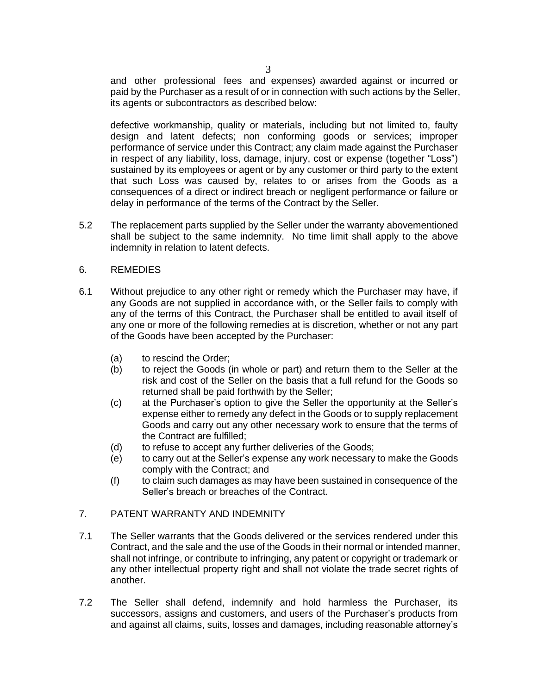and other professional fees and expenses) awarded against or incurred or paid by the Purchaser as a result of or in connection with such actions by the Seller, its agents or subcontractors as described below:

defective workmanship, quality or materials, including but not limited to, faulty design and latent defects; non conforming goods or services; improper performance of service under this Contract; any claim made against the Purchaser in respect of any liability, loss, damage, injury, cost or expense (together "Loss") sustained by its employees or agent or by any customer or third party to the extent that such Loss was caused by, relates to or arises from the Goods as a consequences of a direct or indirect breach or negligent performance or failure or delay in performance of the terms of the Contract by the Seller.

5.2 The replacement parts supplied by the Seller under the warranty abovementioned shall be subject to the same indemnity. No time limit shall apply to the above indemnity in relation to latent defects.

#### 6. REMEDIES

- 6.1 Without prejudice to any other right or remedy which the Purchaser may have, if any Goods are not supplied in accordance with, or the Seller fails to comply with any of the terms of this Contract, the Purchaser shall be entitled to avail itself of any one or more of the following remedies at is discretion, whether or not any part of the Goods have been accepted by the Purchaser:
	- (a) to rescind the Order;
	- (b) to reject the Goods (in whole or part) and return them to the Seller at the risk and cost of the Seller on the basis that a full refund for the Goods so returned shall be paid forthwith by the Seller;
	- (c) at the Purchaser's option to give the Seller the opportunity at the Seller's expense either to remedy any defect in the Goods or to supply replacement Goods and carry out any other necessary work to ensure that the terms of the Contract are fulfilled;
	- (d) to refuse to accept any further deliveries of the Goods;
	- (e) to carry out at the Seller's expense any work necessary to make the Goods comply with the Contract; and
	- (f) to claim such damages as may have been sustained in consequence of the Seller's breach or breaches of the Contract.

## 7. PATENT WARRANTY AND INDEMNITY

- 7.1 The Seller warrants that the Goods delivered or the services rendered under this Contract, and the sale and the use of the Goods in their normal or intended manner, shall not infringe, or contribute to infringing, any patent or copyright or trademark or any other intellectual property right and shall not violate the trade secret rights of another.
- 7.2 The Seller shall defend, indemnify and hold harmless the Purchaser, its successors, assigns and customers, and users of the Purchaser's products from and against all claims, suits, losses and damages, including reasonable attorney's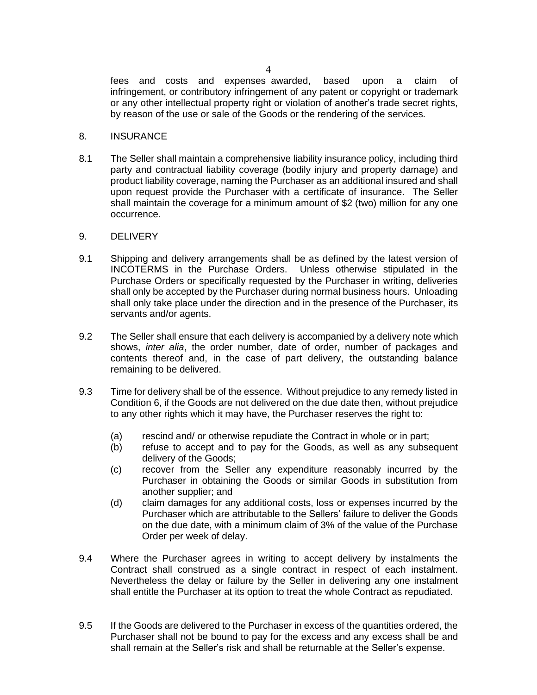fees and costs and expenses awarded, based upon a claim of infringement, or contributory infringement of any patent or copyright or trademark or any other intellectual property right or violation of another's trade secret rights, by reason of the use or sale of the Goods or the rendering of the services.

#### 8. INSURANCE

8.1 The Seller shall maintain a comprehensive liability insurance policy, including third party and contractual liability coverage (bodily injury and property damage) and product liability coverage, naming the Purchaser as an additional insured and shall upon request provide the Purchaser with a certificate of insurance. The Seller shall maintain the coverage for a minimum amount of \$2 (two) million for any one occurrence.

#### 9. DELIVERY

- 9.1 Shipping and delivery arrangements shall be as defined by the latest version of INCOTERMS in the Purchase Orders. Unless otherwise stipulated in the Purchase Orders or specifically requested by the Purchaser in writing, deliveries shall only be accepted by the Purchaser during normal business hours. Unloading shall only take place under the direction and in the presence of the Purchaser, its servants and/or agents.
- 9.2 The Seller shall ensure that each delivery is accompanied by a delivery note which shows, *inter alia*, the order number, date of order, number of packages and contents thereof and, in the case of part delivery, the outstanding balance remaining to be delivered.
- 9.3 Time for delivery shall be of the essence. Without prejudice to any remedy listed in Condition 6, if the Goods are not delivered on the due date then, without prejudice to any other rights which it may have, the Purchaser reserves the right to:
	- (a) rescind and/ or otherwise repudiate the Contract in whole or in part;
	- (b) refuse to accept and to pay for the Goods, as well as any subsequent delivery of the Goods;
	- (c) recover from the Seller any expenditure reasonably incurred by the Purchaser in obtaining the Goods or similar Goods in substitution from another supplier; and
	- (d) claim damages for any additional costs, loss or expenses incurred by the Purchaser which are attributable to the Sellers' failure to deliver the Goods on the due date, with a minimum claim of 3% of the value of the Purchase Order per week of delay.
- 9.4 Where the Purchaser agrees in writing to accept delivery by instalments the Contract shall construed as a single contract in respect of each instalment. Nevertheless the delay or failure by the Seller in delivering any one instalment shall entitle the Purchaser at its option to treat the whole Contract as repudiated.
- 9.5 If the Goods are delivered to the Purchaser in excess of the quantities ordered, the Purchaser shall not be bound to pay for the excess and any excess shall be and shall remain at the Seller's risk and shall be returnable at the Seller's expense.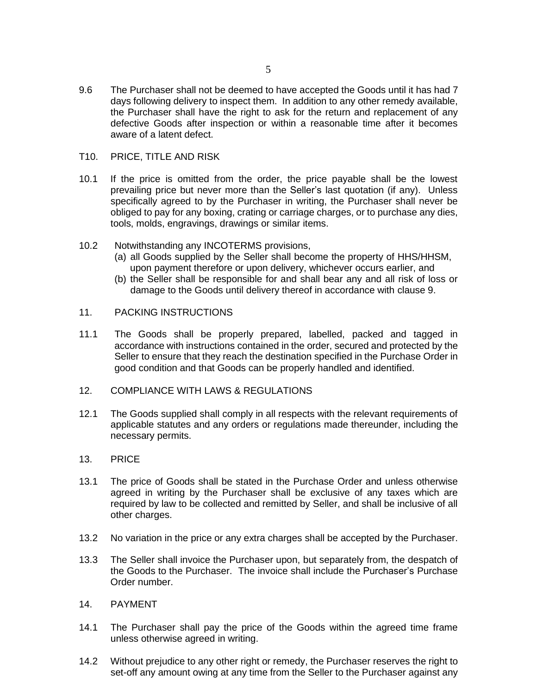- 9.6 The Purchaser shall not be deemed to have accepted the Goods until it has had 7 days following delivery to inspect them. In addition to any other remedy available, the Purchaser shall have the right to ask for the return and replacement of any defective Goods after inspection or within a reasonable time after it becomes aware of a latent defect.
- T10. PRICE, TITLE AND RISK
- 10.1 If the price is omitted from the order, the price payable shall be the lowest prevailing price but never more than the Seller's last quotation (if any). Unless specifically agreed to by the Purchaser in writing, the Purchaser shall never be obliged to pay for any boxing, crating or carriage charges, or to purchase any dies, tools, molds, engravings, drawings or similar items.
- 10.2 Notwithstanding any INCOTERMS provisions,
	- (a) all Goods supplied by the Seller shall become the property of HHS/HHSM, upon payment therefore or upon delivery, whichever occurs earlier, and
	- (b) the Seller shall be responsible for and shall bear any and all risk of loss or damage to the Goods until delivery thereof in accordance with clause 9.
- 11. PACKING INSTRUCTIONS
- 11.1 The Goods shall be properly prepared, labelled, packed and tagged in accordance with instructions contained in the order, secured and protected by the Seller to ensure that they reach the destination specified in the Purchase Order in good condition and that Goods can be properly handled and identified.
- 12. COMPLIANCE WITH LAWS & REGULATIONS
- 12.1 The Goods supplied shall comply in all respects with the relevant requirements of applicable statutes and any orders or regulations made thereunder, including the necessary permits.
- 13. PRICE
- 13.1 The price of Goods shall be stated in the Purchase Order and unless otherwise agreed in writing by the Purchaser shall be exclusive of any taxes which are required by law to be collected and remitted by Seller, and shall be inclusive of all other charges.
- 13.2 No variation in the price or any extra charges shall be accepted by the Purchaser.
- 13.3 The Seller shall invoice the Purchaser upon, but separately from, the despatch of the Goods to the Purchaser. The invoice shall include the Purchaser's Purchase Order number.
- 14. PAYMENT
- 14.1 The Purchaser shall pay the price of the Goods within the agreed time frame unless otherwise agreed in writing.
- 14.2 Without prejudice to any other right or remedy, the Purchaser reserves the right to set-off any amount owing at any time from the Seller to the Purchaser against any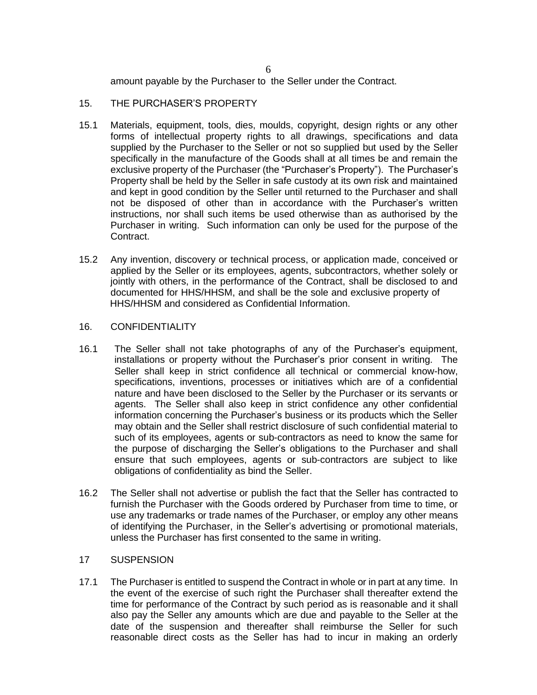amount payable by the Purchaser to the Seller under the Contract.

## 15. THE PURCHASER'S PROPERTY

- 15.1 Materials, equipment, tools, dies, moulds, copyright, design rights or any other forms of intellectual property rights to all drawings, specifications and data supplied by the Purchaser to the Seller or not so supplied but used by the Seller specifically in the manufacture of the Goods shall at all times be and remain the exclusive property of the Purchaser (the "Purchaser's Property"). The Purchaser's Property shall be held by the Seller in safe custody at its own risk and maintained and kept in good condition by the Seller until returned to the Purchaser and shall not be disposed of other than in accordance with the Purchaser's written instructions, nor shall such items be used otherwise than as authorised by the Purchaser in writing. Such information can only be used for the purpose of the Contract.
- 15.2 Any invention, discovery or technical process, or application made, conceived or applied by the Seller or its employees, agents, subcontractors, whether solely or jointly with others, in the performance of the Contract, shall be disclosed to and documented for HHS/HHSM, and shall be the sole and exclusive property of HHS/HHSM and considered as Confidential Information.

## 16. CONFIDENTIALITY

- 16.1 The Seller shall not take photographs of any of the Purchaser's equipment, installations or property without the Purchaser's prior consent in writing. The Seller shall keep in strict confidence all technical or commercial know-how, specifications, inventions, processes or initiatives which are of a confidential nature and have been disclosed to the Seller by the Purchaser or its servants or agents. The Seller shall also keep in strict confidence any other confidential information concerning the Purchaser's business or its products which the Seller may obtain and the Seller shall restrict disclosure of such confidential material to such of its employees, agents or sub-contractors as need to know the same for the purpose of discharging the Seller's obligations to the Purchaser and shall ensure that such employees, agents or sub-contractors are subject to like obligations of confidentiality as bind the Seller.
- 16.2 The Seller shall not advertise or publish the fact that the Seller has contracted to furnish the Purchaser with the Goods ordered by Purchaser from time to time, or use any trademarks or trade names of the Purchaser, or employ any other means of identifying the Purchaser, in the Seller's advertising or promotional materials, unless the Purchaser has first consented to the same in writing.

# 17 SUSPENSION

17.1 The Purchaser is entitled to suspend the Contract in whole or in part at any time. In the event of the exercise of such right the Purchaser shall thereafter extend the time for performance of the Contract by such period as is reasonable and it shall also pay the Seller any amounts which are due and payable to the Seller at the date of the suspension and thereafter shall reimburse the Seller for such reasonable direct costs as the Seller has had to incur in making an orderly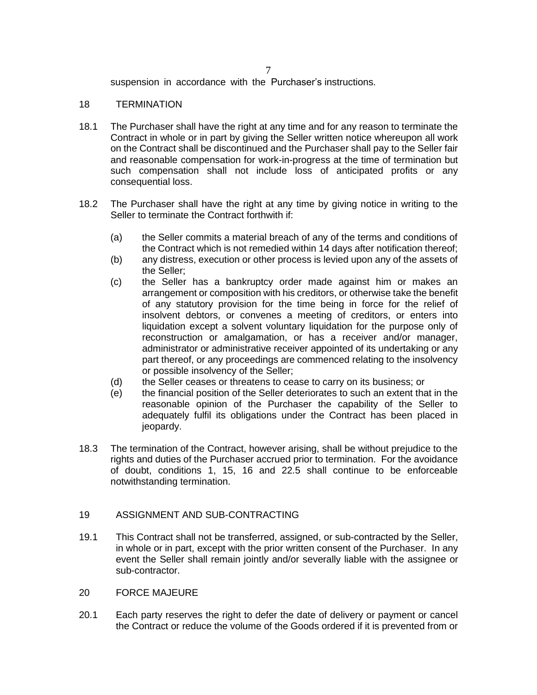7

suspension in accordance with the Purchaser's instructions.

### 18 TERMINATION

- 18.1 The Purchaser shall have the right at any time and for any reason to terminate the Contract in whole or in part by giving the Seller written notice whereupon all work on the Contract shall be discontinued and the Purchaser shall pay to the Seller fair and reasonable compensation for work-in-progress at the time of termination but such compensation shall not include loss of anticipated profits or any consequential loss.
- 18.2 The Purchaser shall have the right at any time by giving notice in writing to the Seller to terminate the Contract forthwith if:
	- (a) the Seller commits a material breach of any of the terms and conditions of the Contract which is not remedied within 14 days after notification thereof;
	- (b) any distress, execution or other process is levied upon any of the assets of the Seller;
	- (c) the Seller has a bankruptcy order made against him or makes an arrangement or composition with his creditors, or otherwise take the benefit of any statutory provision for the time being in force for the relief of insolvent debtors, or convenes a meeting of creditors, or enters into liquidation except a solvent voluntary liquidation for the purpose only of reconstruction or amalgamation, or has a receiver and/or manager, administrator or administrative receiver appointed of its undertaking or any part thereof, or any proceedings are commenced relating to the insolvency or possible insolvency of the Seller;
	- (d) the Seller ceases or threatens to cease to carry on its business; or
	- (e) the financial position of the Seller deteriorates to such an extent that in the reasonable opinion of the Purchaser the capability of the Seller to adequately fulfil its obligations under the Contract has been placed in jeopardy.
- 18.3 The termination of the Contract, however arising, shall be without prejudice to the rights and duties of the Purchaser accrued prior to termination. For the avoidance of doubt, conditions 1, 15, 16 and 22.5 shall continue to be enforceable notwithstanding termination.

# 19 ASSIGNMENT AND SUB-CONTRACTING

- 19.1 This Contract shall not be transferred, assigned, or sub-contracted by the Seller, in whole or in part, except with the prior written consent of the Purchaser. In any event the Seller shall remain jointly and/or severally liable with the assignee or sub-contractor.
- 20 FORCE MAJEURE
- 20.1 Each party reserves the right to defer the date of delivery or payment or cancel the Contract or reduce the volume of the Goods ordered if it is prevented from or